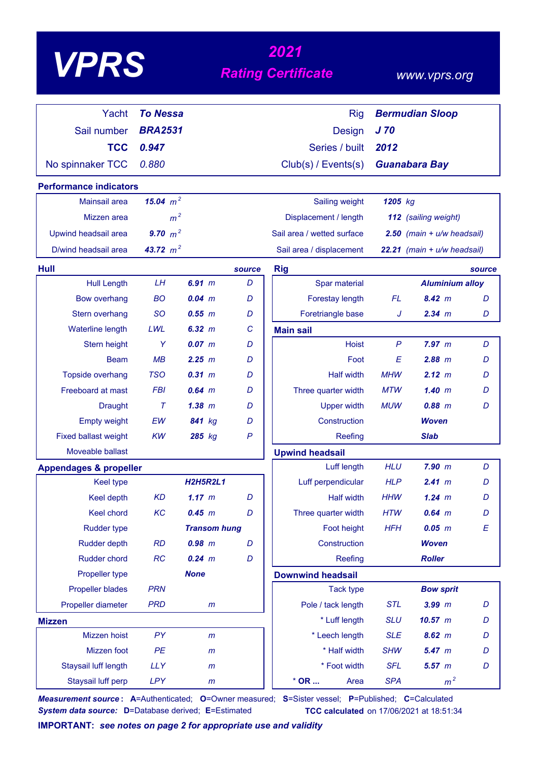|  | <b>VPRS</b> |  |
|--|-------------|--|
|  |             |  |

# *<sup>2021</sup> VPRS Rating Certificate*

 *www.vprs.org*

| Yacht                             | <b>To Nessa</b> |                     |              | <b>Rig</b>                     |                 | <b>Bermudian Sloop</b>         |        |
|-----------------------------------|-----------------|---------------------|--------------|--------------------------------|-----------------|--------------------------------|--------|
| Sail number                       | <b>BRA2531</b>  |                     |              | <b>Design</b>                  | J <sub>70</sub> |                                |        |
| <b>TCC</b>                        | 0.947           |                     |              | Series / built                 | 2012            |                                |        |
| No spinnaker TCC                  | 0.880           |                     |              | Club(s) / Events(s)            |                 | <b>Guanabara Bay</b>           |        |
| <b>Performance indicators</b>     |                 |                     |              |                                |                 |                                |        |
| Mainsail area                     | 15.04 $m^2$     |                     |              | Sailing weight                 | 1205 kg         |                                |        |
| Mizzen area                       | m <sup>2</sup>  |                     |              | Displacement / length          |                 | 112 (sailing weight)           |        |
| Upwind headsail area              | 9.70 $m^2$      |                     |              | Sail area / wetted surface     |                 | $2.50$ (main + $u/w$ headsail) |        |
| D/wind headsail area              | 43.72 $m^2$     |                     |              | Sail area / displacement       |                 | 22.21 (main + u/w headsail)    |        |
| Hull                              |                 |                     | source       | <b>Rig</b>                     |                 |                                | source |
| <b>Hull Length</b>                | LH              | 6.91 m              | D            | Spar material                  |                 | <b>Aluminium alloy</b>         |        |
| <b>Bow overhang</b>               | <b>BO</b>       | $0.04$ m            | D            | Forestay length                | <b>FL</b>       | 8.42 m                         | D      |
| Stern overhang                    | <sub>SO</sub>   | 0.55 m              | D            | Foretriangle base              | J               | 2.34 m                         | D      |
| <b>Waterline length</b>           | LWL             | 6.32 m              | C            | <b>Main sail</b>               |                 |                                |        |
| Stern height                      | Y               | 0.07 m              | D            | <b>Hoist</b>                   | $\mathsf{P}$    | 7.97 m                         | D      |
| <b>Beam</b>                       | MB              | 2.25 m              | D            | Foot                           | E               | 2.88 m                         | D      |
| Topside overhang                  | <b>TSO</b>      | $0.31$ $m$          | D            | <b>Half width</b>              | <b>MHW</b>      | 2.12 m                         | D      |
| Freeboard at mast                 | <b>FBI</b>      | $0.64$ m            | D            | Three quarter width            | <b>MTW</b>      | 1.40~m                         | D      |
| <b>Draught</b>                    | Τ               | $1.38$ $m$          | D            | <b>Upper width</b>             | <b>MUW</b>      | $0.88$ $m$                     | D      |
| <b>Empty weight</b>               | EW              | 841 kg              | D            | Construction                   |                 | <b>Woven</b>                   |        |
| <b>Fixed ballast weight</b>       | <b>KW</b>       | 285 kg              | $\mathsf{P}$ | Reefing                        |                 | <b>Slab</b>                    |        |
| Moveable ballast                  |                 |                     |              | <b>Upwind headsail</b>         |                 |                                |        |
| <b>Appendages &amp; propeller</b> |                 |                     |              | Luff length                    | <b>HLU</b>      | 7.90 m                         | D      |
| <b>Keel type</b>                  |                 | <b>H2H5R2L1</b>     |              | Luff perpendicular             | <b>HLP</b>      | 2.41~m                         | D      |
| <b>Keel depth</b>                 | <b>KD</b>       | 1.17 m              | D            | <b>Half width</b>              | <b>HHW</b>      | $1.24 \; m$                    | D      |
| Keel chord                        | KC              | 0.45 m              | D            | Three quarter width            | <b>HTW</b>      | $0.64$ m                       | D      |
| <b>Rudder type</b>                |                 | <b>Transom hung</b> |              | Foot height                    | <b>HFH</b>      | $0.05$ m                       | E      |
| <b>Rudder depth</b>               | <b>RD</b>       | $0.98$ m            | D            | Construction                   |                 | <b>Woven</b>                   |        |
| <b>Rudder chord</b>               | <b>RC</b>       | $0.24$ m            | D            | Reefing                        |                 | <b>Roller</b>                  |        |
| Propeller type                    |                 | <b>None</b>         |              | <b>Downwind headsail</b>       |                 |                                |        |
| <b>Propeller blades</b>           | <b>PRN</b>      |                     |              | <b>Tack type</b>               |                 | <b>Bow sprit</b>               |        |
| Propeller diameter                | <b>PRD</b>      | m                   |              | Pole / tack length             | <b>STL</b>      | $3.99$ $m$                     | D      |
| <b>Mizzen</b>                     |                 |                     |              | * Luff length                  | <b>SLU</b>      | $10.57$ $m$                    | D      |
| Mizzen hoist                      | PY              | m                   |              | * Leech length                 | <b>SLE</b>      | $8.62 \, m$                    | D      |
| Mizzen foot                       | PE              | $\mathsf{m}$        |              | * Half width                   | <b>SHW</b>      | 5.47 m                         | D      |
| Staysail luff length              | <b>LLY</b>      | $\mathsf{m}$        |              | * Foot width                   | <b>SFL</b>      | $5.57$ $m$                     | D      |
| Staysail luff perp                | <b>LPY</b>      | $\mathsf{m}$        |              | $^{\star}$ OR $\ldots$<br>Area | <b>SPA</b>      | m <sup>2</sup>                 |        |

*Measurement source* **: A**=Authenticated; **O**=Owner measured; **S**=Sister vessel; **P**=Published; **C**=Calculated **System data source:** D=Database derived; E=Estimated **TCC calculated** on 17/06/2021 at 18:51:34

**IMPORTANT:** *see notes on page 2 for appropriate use and validity*